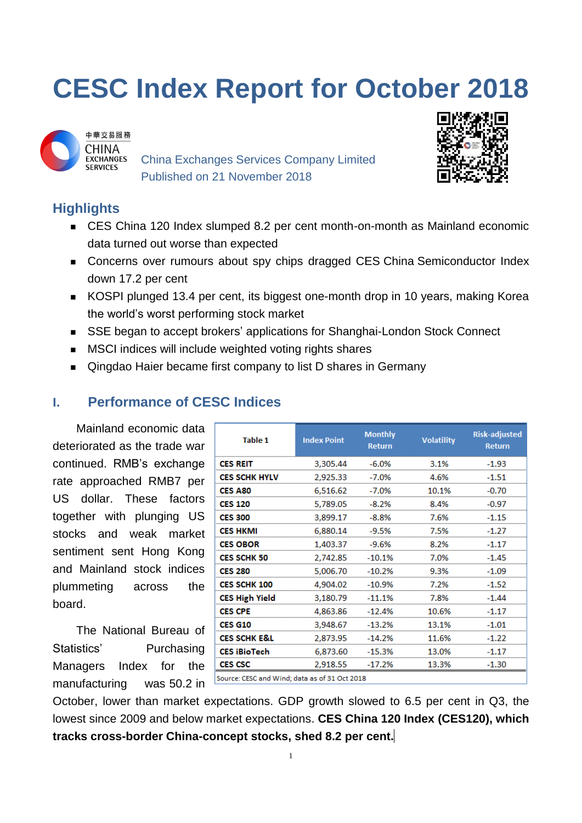# **CESC Index Report for October 2018**



China Exchanges Services Company Limited Published on 21 November 2018



# **Highlights**

- CES China 120 Index slumped 8.2 per cent month-on-month as Mainland economic data turned out worse than expected
- Concerns over rumours about spy chips dragged CES China Semiconductor Index down 17.2 per cent
- KOSPI plunged 13.4 per cent, its biggest one-month drop in 10 years, making Korea the world's worst performing stock market
- SSE began to accept brokers' applications for Shanghai-London Stock Connect
- **MSCI** indices will include weighted voting rights shares
- Qingdao Haier became first company to list D shares in Germany

## **I. Performance of CESC Indices**

Mainland economic data deteriorated as the trade war continued. RMB's exchange rate approached RMB7 per US dollar. These factors together with plunging US stocks and weak market sentiment sent Hong Kong and Mainland stock indices plummeting across the board.

The National Bureau of Statistics' Purchasing Managers Index for the manufacturing was 50.2 in

| <b>Table 1</b>                                | <b>Index Point</b> | <b>Monthly</b><br><b>Return</b> | <b>Volatility</b> | <b>Risk-adjusted</b><br><b>Return</b> |
|-----------------------------------------------|--------------------|---------------------------------|-------------------|---------------------------------------|
| <b>CES REIT</b>                               | 3,305.44           | $-6.0%$                         | 3.1%              | $-1.93$                               |
| <b>CES SCHK HYLV</b>                          | 2,925.33           | $-7.0%$                         | 4.6%              | $-1.51$                               |
| <b>CES A80</b>                                | 6,516.62           | $-7.0%$                         | 10.1%             | $-0.70$                               |
| <b>CES 120</b>                                | 5,789.05           | $-8.2%$                         | 8.4%              | $-0.97$                               |
| <b>CES 300</b>                                | 3,899.17           | $-8.8%$                         | 7.6%              | $-1.15$                               |
| <b>CES HKMI</b>                               | 6,880.14           | $-9.5%$                         | 7.5%              | $-1.27$                               |
| <b>CES OBOR</b>                               | 1,403.37           | $-9.6%$                         | 8.2%              | $-1.17$                               |
| <b>CES SCHK 50</b>                            | 2,742.85           | $-10.1%$                        | 7.0%              | $-1.45$                               |
| <b>CES 280</b>                                | 5,006.70           | $-10.2%$                        | 9.3%              | $-1.09$                               |
| <b>CES SCHK 100</b>                           | 4,904.02           | $-10.9%$                        | 7.2%              | $-1.52$                               |
| <b>CES High Yield</b>                         | 3,180.79           | $-11.1%$                        | 7.8%              | $-1.44$                               |
| <b>CES CPE</b>                                | 4,863.86           | $-12.4%$                        | 10.6%             | $-1.17$                               |
| <b>CES G10</b>                                | 3,948.67           | $-13.2%$                        | 13.1%             | $-1.01$                               |
| <b>CES SCHK E&amp;L</b>                       | 2.873.95           | $-14.2%$                        | 11.6%             | $-1.22$                               |
| <b>CES iBioTech</b>                           | 6,873.60           | $-15.3%$                        | 13.0%             | $-1.17$                               |
| <b>CES CSC</b>                                | 2,918.55           | $-17.2%$                        | 13.3%             | $-1.30$                               |
| Source: CESC and Wind; data as of 31 Oct 2018 |                    |                                 |                   |                                       |

October, lower than market expectations. GDP growth slowed to 6.5 per cent in Q3, the lowest since 2009 and below market expectations. **CES China 120 Index (CES120), which tracks cross-border China-concept stocks, shed 8.2 per cent.**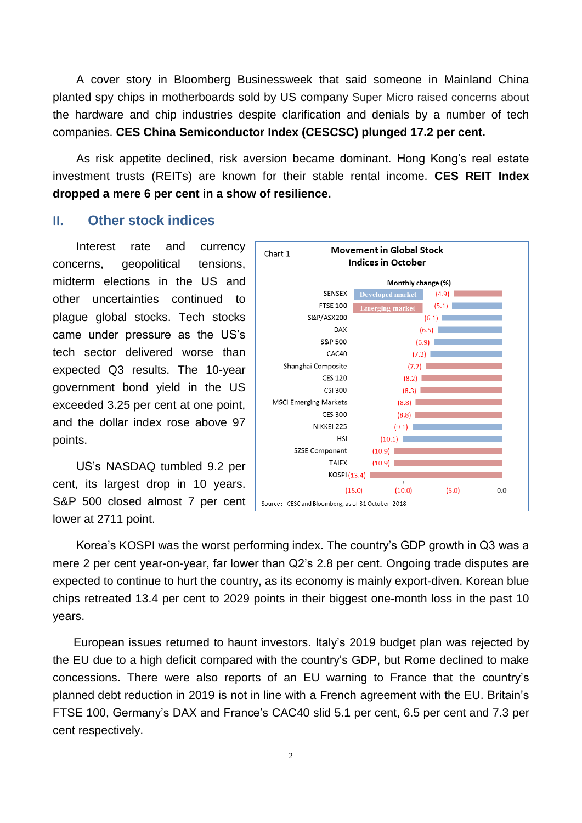A cover story in Bloomberg Businessweek that said someone in Mainland China planted spy chips in motherboards sold by US company Super Micro raised concerns about the hardware and chip industries despite clarification and denials by a number of tech companies. **CES China Semiconductor Index (CESCSC) plunged 17.2 per cent.**

As risk appetite declined, risk aversion became dominant. Hong Kong's real estate investment trusts (REITs) are known for their stable rental income. **CES REIT Index dropped a mere 6 per cent in a show of resilience.**

### **II. Other stock indices**

Interest rate and currency concerns, geopolitical tensions, midterm elections in the US and other uncertainties continued to plague global stocks. Tech stocks came under pressure as the US's tech sector delivered worse than expected Q3 results. The 10-year government bond yield in the US exceeded 3.25 per cent at one point, and the dollar index rose above 97 points.

US's NASDAQ tumbled 9.2 per cent, its largest drop in 10 years. S&P 500 closed almost 7 per cent lower at 2711 point.



Korea's KOSPI was the worst performing index. The country's GDP growth in Q3 was a mere 2 per cent year-on-year, far lower than Q2's 2.8 per cent. Ongoing trade disputes are expected to continue to hurt the country, as its economy is mainly export-diven. Korean blue chips retreated 13.4 per cent to 2029 points in their biggest one-month loss in the past 10 years.

European issues returned to haunt investors. Italy's 2019 budget plan was rejected by the EU due to a high deficit compared with the country's GDP, but Rome declined to make concessions. There were also reports of an EU warning to France that the country's planned debt reduction in 2019 is not in line with a French agreement with the EU. Britain's FTSE 100, Germany's DAX and France's CAC40 slid 5.1 per cent, 6.5 per cent and 7.3 per cent respectively.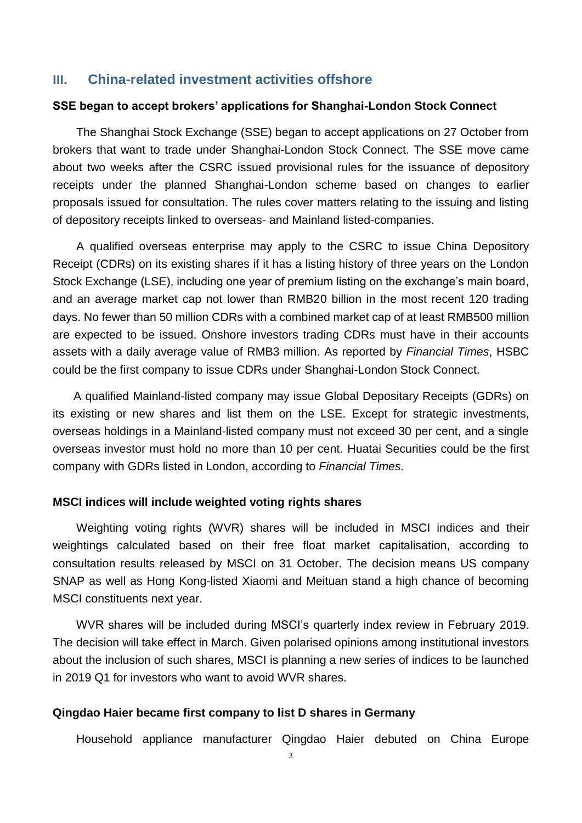#### **III. China-related investment activities offshore**

#### **SSE began to accept brokers' applications for Shanghai-London Stock Connect**

The Shanghai Stock Exchange (SSE) began to accept applications on 27 October from brokers that want to trade under Shanghai-London Stock Connect. The SSE move came about two weeks after the CSRC issued provisional rules for the issuance of depository receipts under the planned Shanghai-London scheme based on changes to earlier proposals issued for consultation. The rules cover matters relating to the issuing and listing of depository receipts linked to overseas- and Mainland listed-companies.

A qualified overseas enterprise may apply to the CSRC to issue China Depository Receipt (CDRs) on its existing shares if it has a listing history of three years on the London Stock Exchange (LSE), including one year of premium listing on the exchange's main board, and an average market cap not lower than RMB20 billion in the most recent 120 trading days. No fewer than 50 million CDRs with a combined market cap of at least RMB500 million are expected to be issued. Onshore investors trading CDRs must have in their accounts assets with a daily average value of RMB3 million. As reported by *Financial Times*, HSBC could be the first company to issue CDRs under Shanghai-London Stock Connect.

A qualified Mainland-listed company may issue Global Depositary Receipts (GDRs) on its existing or new shares and list them on the LSE. Except for strategic investments, overseas holdings in a Mainland-listed company must not exceed 30 per cent, and a single overseas investor must hold no more than 10 per cent. Huatai Securities could be the first company with GDRs listed in London, according to *Financial Times.*

#### **MSCI indices will include weighted voting rights shares**

Weighting voting rights (WVR) shares will be included in MSCI indices and their weightings calculated based on their free float market capitalisation, according to consultation results released by MSCI on 31 October. The decision means US company SNAP as well as Hong Kong-listed Xiaomi and Meituan stand a high chance of becoming MSCI constituents next year.

WVR shares will be included during MSCI's quarterly index review in February 2019. The decision will take effect in March. Given polarised opinions among institutional investors about the inclusion of such shares, MSCI is planning a new series of indices to be launched in 2019 Q1 for investors who want to avoid WVR shares.

#### **Qingdao Haier became first company to list D shares in Germany**

Household appliance manufacturer Qingdao Haier debuted on China Europe